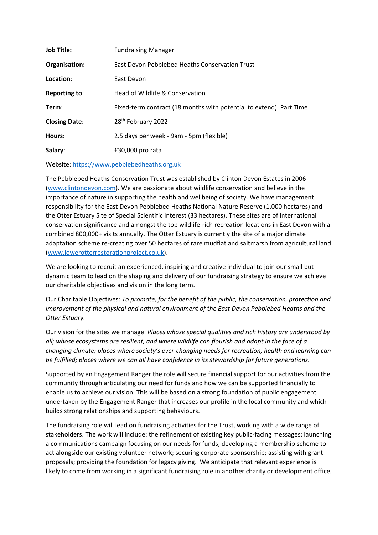| <b>Job Title:</b>    | <b>Fundraising Manager</b>                                          |
|----------------------|---------------------------------------------------------------------|
| Organisation:        | East Devon Pebblebed Heaths Conservation Trust                      |
| Location:            | East Devon                                                          |
| <b>Reporting to:</b> | Head of Wildlife & Conservation                                     |
| Term:                | Fixed-term contract (18 months with potential to extend). Part Time |
| <b>Closing Date:</b> | 28 <sup>th</sup> February 2022                                      |
| Hours:               | 2.5 days per week - 9am - 5pm (flexible)                            |
| Salary:              | £30,000 pro rata                                                    |

Website: [https://www.pebblebedheaths.org.uk](https://www.pebblebedheaths.org.uk/)

The Pebblebed Heaths Conservation Trust was established by Clinton Devon Estates in 2006 [\(www.clintondevon.com\)](http://www.clintondevon.com/). We are passionate about wildlife conservation and believe in the importance of nature in supporting the health and wellbeing of society. We have management responsibility for the East Devon Pebblebed Heaths National Nature Reserve (1,000 hectares) and the Otter Estuary Site of Special Scientific Interest (33 hectares). These sites are of international conservation significance and amongst the top wildlife-rich recreation locations in East Devon with a combined 800,000+ visits annually. The Otter Estuary is currently the site of a major climate adaptation scheme re-creating over 50 hectares of rare mudflat and saltmarsh from agricultural land [\(www.lowerotterrestorationproject.co.uk\)](http://www.lowerotterrestorationproject.co.uk/).

We are looking to recruit an experienced, inspiring and creative individual to join our small but dynamic team to lead on the shaping and delivery of our fundraising strategy to ensure we achieve our charitable objectives and vision in the long term.

Our Charitable Objectives: *To promote, for the benefit of the public, the conservation, protection and improvement of the physical and natural environment of the East Devon Pebblebed Heaths and the Otter Estuary.*

Our vision for the sites we manage: *Places whose special qualities and rich history are understood by all; whose ecosystems are resilient, and where wildlife can flourish and adapt in the face of a changing climate; places where society's ever-changing needs for recreation, health and learning can be fulfilled; places where we can all have confidence in its stewardship for future generations.*

Supported by an Engagement Ranger the role will secure financial support for our activities from the community through articulating our need for funds and how we can be supported financially to enable us to achieve our vision. This will be based on a strong foundation of public engagement undertaken by the Engagement Ranger that increases our profile in the local community and which builds strong relationships and supporting behaviours.

The fundraising role will lead on fundraising activities for the Trust, working with a wide range of stakeholders. The work will include: the refinement of existing key public-facing messages; launching a communications campaign focusing on our needs for funds; developing a membership scheme to act alongside our existing volunteer network; securing corporate sponsorship; assisting with grant proposals; providing the foundation for legacy giving. We anticipate that relevant experience is likely to come from working in a significant fundraising role in another charity or development office*.*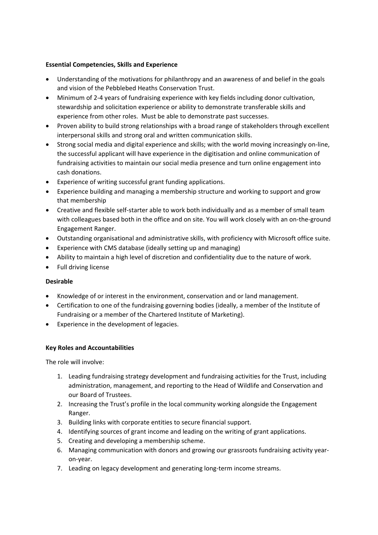### **Essential Competencies, Skills and Experience**

- Understanding of the motivations for philanthropy and an awareness of and belief in the goals and vision of the Pebblebed Heaths Conservation Trust.
- Minimum of 2-4 years of fundraising experience with key fields including donor cultivation, stewardship and solicitation experience or ability to demonstrate transferable skills and experience from other roles. Must be able to demonstrate past successes.
- Proven ability to build strong relationships with a broad range of stakeholders through excellent interpersonal skills and strong oral and written communication skills.
- Strong social media and digital experience and skills; with the world moving increasingly on-line, the successful applicant will have experience in the digitisation and online communication of fundraising activities to maintain our social media presence and turn online engagement into cash donations.
- Experience of writing successful grant funding applications.
- Experience building and managing a membership structure and working to support and grow that membership
- Creative and flexible self-starter able to work both individually and as a member of small team with colleagues based both in the office and on site. You will work closely with an on-the-ground Engagement Ranger.
- Outstanding organisational and administrative skills, with proficiency with Microsoft office suite.
- Experience with CMS database (ideally setting up and managing)
- Ability to maintain a high level of discretion and confidentiality due to the nature of work.
- Full driving license

#### **Desirable**

- Knowledge of or interest in the environment, conservation and or land management.
- Certification to one of the fundraising governing bodies (ideally, a member of the Institute of Fundraising or a member of the Chartered Institute of Marketing).
- Experience in the development of legacies.

# **Key Roles and Accountabilities**

The role will involve:

- 1. Leading fundraising strategy development and fundraising activities for the Trust, including administration, management, and reporting to the Head of Wildlife and Conservation and our Board of Trustees.
- 2. Increasing the Trust's profile in the local community working alongside the Engagement Ranger.
- 3. Building links with corporate entities to secure financial support.
- 4. Identifying sources of grant income and leading on the writing of grant applications.
- 5. Creating and developing a membership scheme.
- 6. Managing communication with donors and growing our grassroots fundraising activity yearon-year.
- 7. Leading on legacy development and generating long-term income streams.